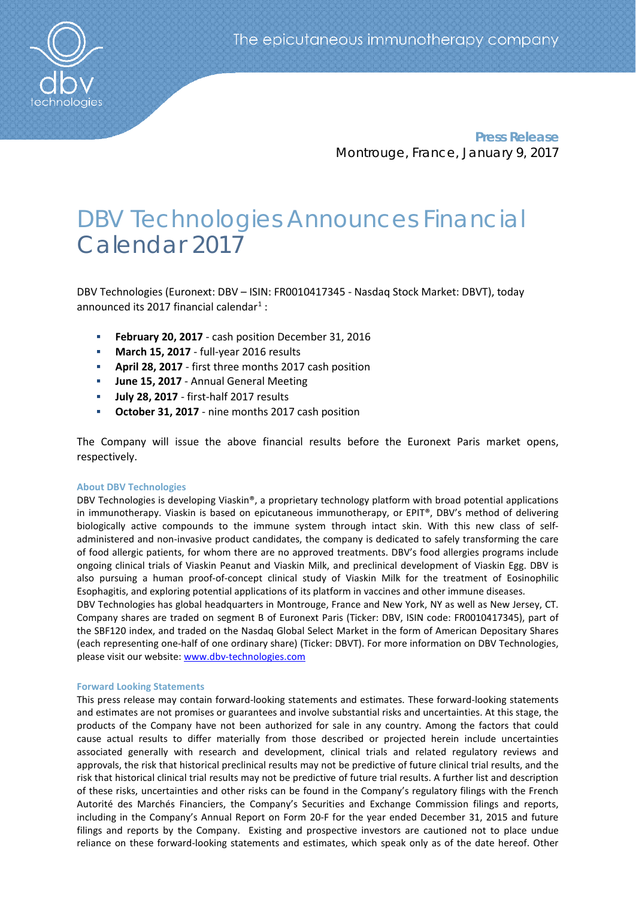

**Press Release** Montrouge, France, January 9, 2017

# DBV Technologies Announces Financial Calendar 2017

DBV Technologies (Euronext: DBV – ISIN: FR0010417345 - Nasdaq Stock Market: DBVT), today announced its 20[1](#page-1-0)7 financial calendar<sup>1</sup> :

- **February 20, 2017** cash position December 31, 2016
- **March 15, 2017**  full-year 2016 results
- **April 28, 2017** first three months 2017 cash position
- **June 15, 2017** Annual General Meeting
- **July 28, 2017** first-half 2017 results
- **October 31, 2017** nine months 2017 cash position

The Company will issue the above financial results before the Euronext Paris market opens, respectively.

## **About DBV Technologies**

DBV Technologies is developing Viaskin®, a proprietary technology platform with broad potential applications in immunotherapy. Viaskin is based on epicutaneous immunotherapy, or EPIT®, DBV's method of delivering biologically active compounds to the immune system through intact skin. With this new class of selfadministered and non-invasive product candidates, the company is dedicated to safely transforming the care of food allergic patients, for whom there are no approved treatments. DBV's food allergies programs include ongoing clinical trials of Viaskin Peanut and Viaskin Milk, and preclinical development of Viaskin Egg. DBV is also pursuing a human proof-of-concept clinical study of Viaskin Milk for the treatment of Eosinophilic Esophagitis, and exploring potential applications of its platform in vaccines and other immune diseases.

DBV Technologies has global headquarters in Montrouge, France and New York, NY as well as New Jersey, CT. Company shares are traded on segment B of Euronext Paris (Ticker: DBV, ISIN code: FR0010417345), part of the SBF120 index, and traded on the Nasdaq Global Select Market in the form of American Depositary Shares (each representing one-half of one ordinary share) (Ticker: DBVT). For more information on DBV Technologies, please visit our website: [www.dbv-technologies.com](http://www.dbv-technologies.com/)

## **Forward Looking Statements**

This press release may contain forward-looking statements and estimates. These forward-looking statements and estimates are not promises or guarantees and involve substantial risks and uncertainties. At this stage, the products of the Company have not been authorized for sale in any country. Among the factors that could cause actual results to differ materially from those described or projected herein include uncertainties associated generally with research and development, clinical trials and related regulatory reviews and approvals, the risk that historical preclinical results may not be predictive of future clinical trial results, and the risk that historical clinical trial results may not be predictive of future trial results. A further list and description of these risks, uncertainties and other risks can be found in the Company's regulatory filings with the French Autorité des Marchés Financiers, the Company's Securities and Exchange Commission filings and reports, including in the Company's Annual Report on Form 20-F for the year ended December 31, 2015 and future filings and reports by the Company. Existing and prospective investors are cautioned not to place undue reliance on these forward-looking statements and estimates, which speak only as of the date hereof. Other